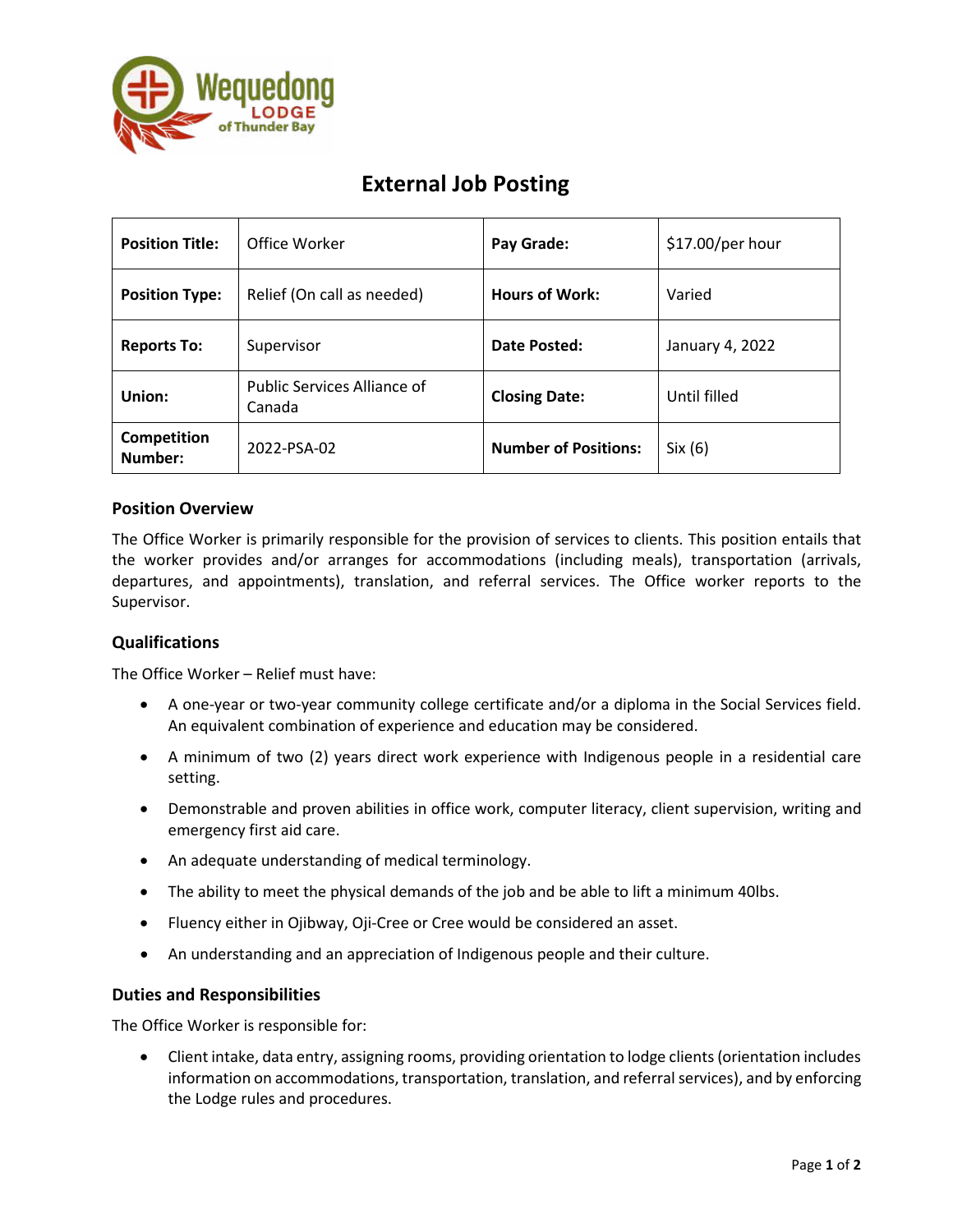

# **External Job Posting**

| <b>Position Title:</b> | Office Worker                                | Pay Grade:                  | \$17.00/per hour |
|------------------------|----------------------------------------------|-----------------------------|------------------|
| <b>Position Type:</b>  | Relief (On call as needed)                   | <b>Hours of Work:</b>       | Varied           |
| <b>Reports To:</b>     | Supervisor                                   | Date Posted:                | January 4, 2022  |
| Union:                 | <b>Public Services Alliance of</b><br>Canada | <b>Closing Date:</b>        | Until filled     |
| Competition<br>Number: | 2022-PSA-02                                  | <b>Number of Positions:</b> | Six (6)          |

## **Position Overview**

The Office Worker is primarily responsible for the provision of services to clients. This position entails that the worker provides and/or arranges for accommodations (including meals), transportation (arrivals, departures, and appointments), translation, and referral services. The Office worker reports to the Supervisor.

### **Qualifications**

The Office Worker – Relief must have:

- A one-year or two-year community college certificate and/or a diploma in the Social Services field. An equivalent combination of experience and education may be considered.
- A minimum of two (2) years direct work experience with Indigenous people in a residential care setting.
- Demonstrable and proven abilities in office work, computer literacy, client supervision, writing and emergency first aid care.
- An adequate understanding of medical terminology.
- The ability to meet the physical demands of the job and be able to lift a minimum 40lbs.
- Fluency either in Ojibway, Oji-Cree or Cree would be considered an asset.
- An understanding and an appreciation of Indigenous people and their culture.

### **Duties and Responsibilities**

The Office Worker is responsible for:

• Client intake, data entry, assigning rooms, providing orientation to lodge clients (orientation includes information on accommodations, transportation, translation, and referral services), and by enforcing the Lodge rules and procedures.